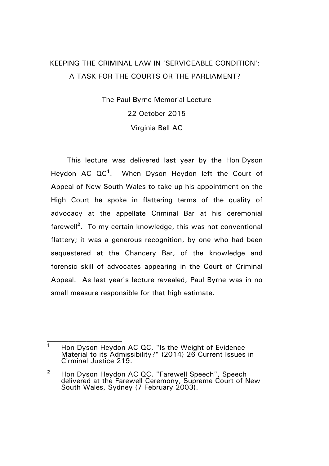## KEEPING THE CRIMINAL LAW IN 'SERVICEABLE CONDITION': A TASK FOR THE COURTS OR THE PARLIAMENT?

The Paul Byrne Memorial Lecture 22 October 2015 Virginia Bell AC

This lecture was delivered last year by the Hon Dyson Heydon AC QC**<sup>1</sup>** . When Dyson Heydon left the Court of Appeal of New South Wales to take up his appointment on the High Court he spoke in flattering terms of the quality of advocacy at the appellate Criminal Bar at his ceremonial farewell**<sup>2</sup>** . To my certain knowledge, this was not conventional flattery; it was a generous recognition, by one who had been sequestered at the Chancery Bar, of the knowledge and forensic skill of advocates appearing in the Court of Criminal Appeal. As last year's lecture revealed, Paul Byrne was in no small measure responsible for that high estimate.

**<sup>1</sup>** Hon Dyson Heydon AC QC, "Is the Weight of Evidence Material to its Admissibility?" (2014) 26 Current Issues in Cirminal Justice 219.

**<sup>2</sup>** Hon Dyson Heydon AC QC, "Farewell Speech", Speech delivered at the Farewell Ceremony, Supreme Court of New South Wales, Sydney (7 February 2003).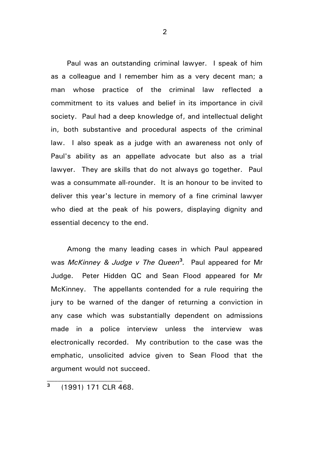Paul was an outstanding criminal lawyer. I speak of him as a colleague and I remember him as a very decent man; a man whose practice of the criminal law reflected a commitment to its values and belief in its importance in civil society. Paul had a deep knowledge of, and intellectual delight in, both substantive and procedural aspects of the criminal law. I also speak as a judge with an awareness not only of Paul's ability as an appellate advocate but also as a trial lawyer. They are skills that do not always go together. Paul was a consummate all-rounder. It is an honour to be invited to deliver this year's lecture in memory of a fine criminal lawyer who died at the peak of his powers, displaying dignity and essential decency to the end.

Among the many leading cases in which Paul appeared was *McKinney & Judge v The Queen***<sup>3</sup>** *.* Paul appeared for Mr Judge. Peter Hidden QC and Sean Flood appeared for Mr McKinney. The appellants contended for a rule requiring the jury to be warned of the danger of returning a conviction in any case which was substantially dependent on admissions made in a police interview unless the interview was electronically recorded. My contribution to the case was the emphatic, unsolicited advice given to Sean Flood that the argument would not succeed.

**3** (1991) 171 CLR 468.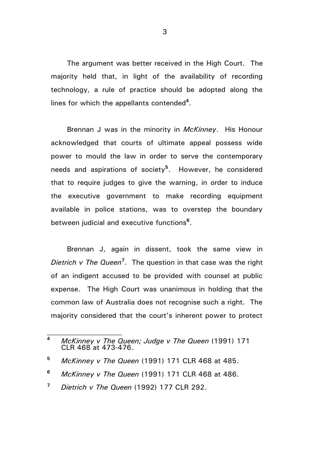The argument was better received in the High Court. The majority held that, in light of the availability of recording technology, a rule of practice should be adopted along the lines for which the appellants contended**<sup>4</sup>** .

Brennan J was in the minority in *McKinney*. His Honour acknowledged that courts of ultimate appeal possess wide power to mould the law in order to serve the contemporary needs and aspirations of society**<sup>5</sup>** . However, he considered that to require judges to give the warning, in order to induce the executive government to make recording equipment available in police stations, was to overstep the boundary between judicial and executive functions**<sup>6</sup>** .

Brennan J, again in dissent, took the same view in *Dietrich v The Queen***<sup>7</sup>** . The question in that case was the right of an indigent accused to be provided with counsel at public expense. The High Court was unanimous in holding that the common law of Australia does not recognise such a right. The majority considered that the court's inherent power to protect

**<sup>4</sup>** *McKinney v The Queen; Judge v The Queen* (1991) 171 CLR 468 at 473-476.

**<sup>5</sup>** *McKinney v The Queen* (1991) 171 CLR 468 at 485.

**<sup>6</sup>** *McKinney v The Queen* (1991) 171 CLR 468 at 486.

**<sup>7</sup>** *Dietrich v The Queen* (1992) 177 CLR 292.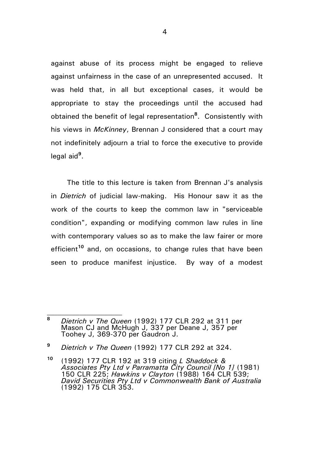against abuse of its process might be engaged to relieve against unfairness in the case of an unrepresented accused. It was held that, in all but exceptional cases, it would be appropriate to stay the proceedings until the accused had obtained the benefit of legal representation**<sup>8</sup>** . Consistently with his views in *McKinney*, Brennan J considered that a court may not indefinitely adjourn a trial to force the executive to provide legal aid**<sup>9</sup>** .

The title to this lecture is taken from Brennan J's analysis in *Dietrich* of judicial law-making. His Honour saw it as the work of the courts to keep the common law in "serviceable condition", expanding or modifying common law rules in line with contemporary values so as to make the law fairer or more efficient**<sup>10</sup>** and, on occasions, to change rules that have been seen to produce manifest injustice. By way of a modest

**<sup>8</sup>** *Dietrich v The Queen* (1992) 177 CLR 292 at 311 per Mason CJ and McHugh J, 337 per Deane J, 357 per Toohey J, 369-370 per Gaudron J.

**<sup>9</sup>** *Dietrich v The Queen* (1992) 177 CLR 292 at 324.

**<sup>10</sup>** (1992) 177 CLR 192 at 319 citing *L Shaddock & Associates Pty Ltd v Parramatta City Council [No 1]* (1981) 150 CLR 225; *Hawkins v Clayton* (1988) 164 CLR 539; *David Securities Pty Ltd v Commonwealth Bank of Australia* (1992) 175 CLR 353.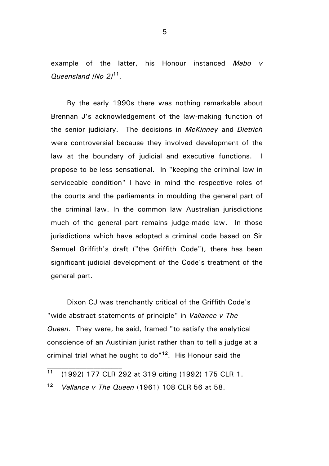example of the latter, his Honour instanced *Mabo v Queensland [No 2]***<sup>11</sup>** .

By the early 1990s there was nothing remarkable about Brennan J's acknowledgement of the law-making function of the senior judiciary. The decisions in *McKinney* and *Dietrich* were controversial because they involved development of the law at the boundary of judicial and executive functions. I propose to be less sensational. In "keeping the criminal law in serviceable condition" I have in mind the respective roles of the courts and the parliaments in moulding the general part of the criminal law. In the common law Australian jurisdictions much of the general part remains judge-made law. In those jurisdictions which have adopted a criminal code based on Sir Samuel Griffith's draft ("the Griffith Code"), there has been significant judicial development of the Code's treatment of the general part.

Dixon CJ was trenchantly critical of the Griffith Code's "wide abstract statements of principle" in *Vallance v The Queen*. They were, he said, framed "to satisfy the analytical conscience of an Austinian jurist rather than to tell a judge at a criminal trial what he ought to do"**<sup>12</sup>** . His Honour said the

**<sup>11</sup>** (1992) 177 CLR 292 at 319 citing (1992) 175 CLR 1.

**<sup>12</sup>** *Vallance v The Queen* (1961) 108 CLR 56 at 58.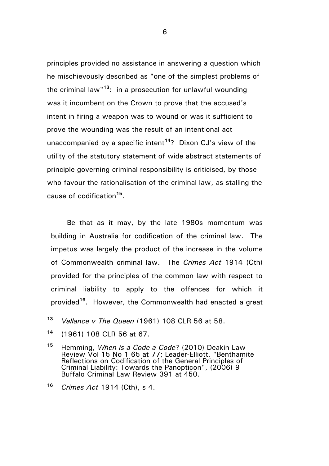principles provided no assistance in answering a question which he mischievously described as "one of the simplest problems of the criminal law" **<sup>13</sup>**: in a prosecution for unlawful wounding was it incumbent on the Crown to prove that the accused's intent in firing a weapon was to wound or was it sufficient to prove the wounding was the result of an intentional act unaccompanied by a specific intent**<sup>14</sup>**? Dixon CJ's view of the utility of the statutory statement of wide abstract statements of principle governing criminal responsibility is criticised, by those who favour the rationalisation of the criminal law, as stalling the cause of codification**<sup>15</sup>** .

Be that as it may, by the late 1980s momentum was building in Australia for codification of the criminal law. The impetus was largely the product of the increase in the volume of Commonwealth criminal law. The *Crimes Act* 1914 (Cth) provided for the principles of the common law with respect to criminal liability to apply to the offences for which it provided**<sup>16</sup>**. However, the Commonwealth had enacted a great

**<sup>15</sup>** Hemming, *When is a Code a Code*? (2010) Deakin Law Review Vol 15 No 1 65 at 77; Leader-Elliott, "Benthamite Reflections on Codification of the General Principles of Criminal Liability: Towards the Panopticon", (2006) 9 Buffalo Criminal Law Review 391 at 450.

**<sup>13</sup>** *Vallance v The Queen* (1961) 108 CLR 56 at 58.

**<sup>14</sup>** (1961) 108 CLR 56 at 67.

**<sup>16</sup>** *Crimes Act* 1914 (Cth), s 4.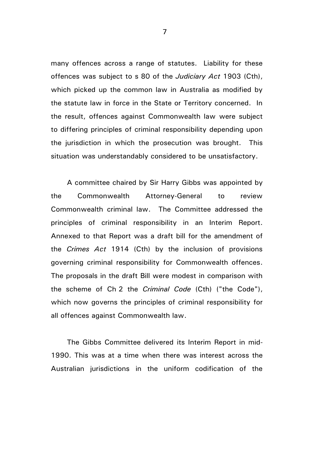many offences across a range of statutes. Liability for these offences was subject to s 80 of the *Judiciary Act* 1903 (Cth), which picked up the common law in Australia as modified by the statute law in force in the State or Territory concerned. In the result, offences against Commonwealth law were subject to differing principles of criminal responsibility depending upon the jurisdiction in which the prosecution was brought. This situation was understandably considered to be unsatisfactory.

A committee chaired by Sir Harry Gibbs was appointed by the Commonwealth Attorney-General to review Commonwealth criminal law. The Committee addressed the principles of criminal responsibility in an Interim Report. Annexed to that Report was a draft bill for the amendment of the *Crimes Act* 1914 (Cth) by the inclusion of provisions governing criminal responsibility for Commonwealth offences. The proposals in the draft Bill were modest in comparison with the scheme of Ch 2 the *Criminal Code* (Cth) ("the Code"), which now governs the principles of criminal responsibility for all offences against Commonwealth law.

The Gibbs Committee delivered its Interim Report in mid-1990. This was at a time when there was interest across the Australian jurisdictions in the uniform codification of the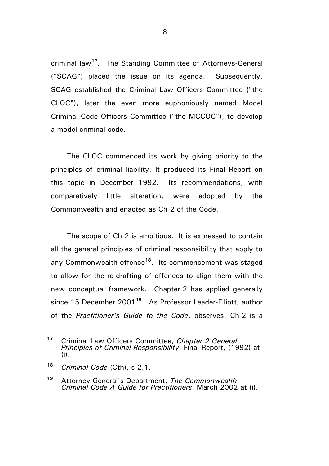criminal law**<sup>17</sup>**. The Standing Committee of Attorneys-General ("SCAG") placed the issue on its agenda. Subsequently, SCAG established the Criminal Law Officers Committee ("the CLOC"), later the even more euphoniously named Model Criminal Code Officers Committee ("the MCCOC"), to develop a model criminal code.

The CLOC commenced its work by giving priority to the principles of criminal liability. It produced its Final Report on this topic in December 1992. Its recommendations, with comparatively little alteration, were adopted by the Commonwealth and enacted as Ch 2 of the Code.

The scope of Ch 2 is ambitious. It is expressed to contain all the general principles of criminal responsibility that apply to any Commonwealth offence**<sup>18</sup>**. Its commencement was staged to allow for the re-drafting of offences to align them with the new conceptual framework. Chapter 2 has applied generally since 15 December 2001**<sup>19</sup>**. As Professor Leader-Elliott, author of the *Practitioner's Guide to the Code*, observes, Ch 2 is a

**<sup>17</sup>** Criminal Law Officers Committee, *Chapter 2 General Principles of Criminal Responsibility*, Final Report, (1992) at (i).

**<sup>18</sup>** *Criminal Code* (Cth), s 2.1.

**<sup>19</sup>** Attorney-General's Department, *The Commonwealth Criminal Code A Guide for Practitioners*, March 2002 at (i).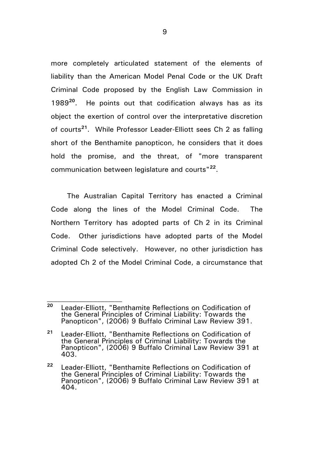more completely articulated statement of the elements of liability than the American Model Penal Code or the UK Draft Criminal Code proposed by the English Law Commission in 1989**<sup>20</sup>** . He points out that codification always has as its object the exertion of control over the interpretative discretion of courts**<sup>21</sup>**. While Professor Leader-Elliott sees Ch 2 as falling short of the Benthamite panopticon, he considers that it does hold the promise, and the threat, of "more transparent communication between legislature and courts"**<sup>22</sup>** .

The Australian Capital Territory has enacted a Criminal Code along the lines of the Model Criminal Code. The Northern Territory has adopted parts of Ch 2 in its Criminal Code. Other jurisdictions have adopted parts of the Model Criminal Code selectively. However, no other jurisdiction has adopted Ch 2 of the Model Criminal Code, a circumstance that

**<sup>20</sup>** Leader-Elliott, "Benthamite Reflections on Codification of the General Principles of Criminal Liability: Towards the Panopticon", (2006) 9 Buffalo Criminal Law Review 391.

**<sup>21</sup>** Leader-Elliott, "Benthamite Reflections on Codification of the General Principles of Criminal Liability: Towards the Panopticon", (2006) 9 Buffalo Criminal Law Review 391 at 403.

**<sup>22</sup>** Leader-Elliott, "Benthamite Reflections on Codification of the General Principles of Criminal Liability: Towards the Panopticon", (2006) 9 Buffalo Criminal Law Review 391 at 404.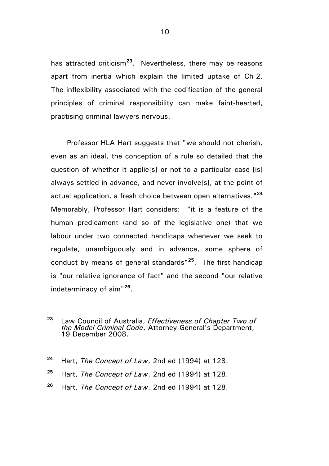has attracted criticism**<sup>23</sup>** . Nevertheless, there may be reasons apart from inertia which explain the limited uptake of Ch 2. The inflexibility associated with the codification of the general principles of criminal responsibility can make faint-hearted, practising criminal lawyers nervous.

Professor HLA Hart suggests that "we should not cherish, even as an ideal, the conception of a rule so detailed that the question of whether it applie[s] or not to a particular case [is] always settled in advance, and never involve[s], at the point of actual application, a fresh choice between open alternatives." **24** Memorably, Professor Hart considers: "it is a feature of the human predicament (and so of the legislative one) that we labour under two connected handicaps whenever we seek to regulate, unambiguously and in advance, some sphere of conduct by means of general standards"**<sup>25</sup>**. The first handicap is "our relative ignorance of fact" and the second "our relative indeterminacy of aim"**<sup>26</sup>** .

- **<sup>24</sup>** Hart, *The Concept of Law*, 2nd ed (1994) at 128.
- **<sup>25</sup>** Hart, *The Concept of Law*, 2nd ed (1994) at 128.
- **<sup>26</sup>** Hart, *The Concept of Law*, 2nd ed (1994) at 128.

**<sup>23</sup>** Law Council of Australia, *Effectiveness of Chapter Two of the Model Criminal Code*, Attorney-General's Department, 19 December 2008.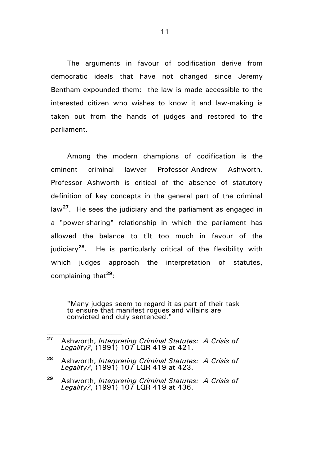The arguments in favour of codification derive from democratic ideals that have not changed since Jeremy Bentham expounded them: the law is made accessible to the interested citizen who wishes to know it and law-making is taken out from the hands of judges and restored to the parliament.

Among the modern champions of codification is the eminent criminal lawyer Professor Andrew Ashworth. Professor Ashworth is critical of the absence of statutory definition of key concepts in the general part of the criminal law**<sup>27</sup>** . He sees the judiciary and the parliament as engaged in a "power-sharing" relationship in which the parliament has allowed the balance to tilt too much in favour of the judiciary**<sup>28</sup>** . He is particularly critical of the flexibility with which judges approach the interpretation of statutes, complaining that**<sup>29</sup>**:

"Many judges seem to regard it as part of their task to ensure that manifest rogues and villains are convicted and duly sentenced."

**<sup>27</sup>** Ashworth, *Interpreting Criminal Statutes: A Crisis of Legality?*, (1991) 107 LQR 419 at 421.

**<sup>28</sup>** Ashworth, *Interpreting Criminal Statutes: A Crisis of Legality?*, (1991) 107 LQR 419 at 423.

**<sup>29</sup>** Ashworth, *Interpreting Criminal Statutes: A Crisis of Legality?*, (1991) 107 LQR 419 at 436.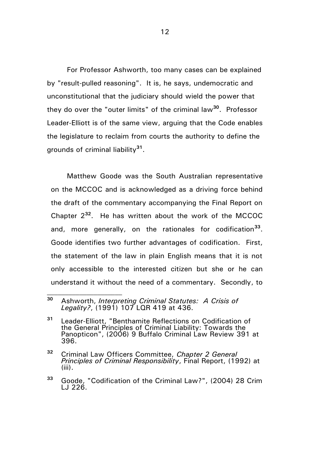For Professor Ashworth, too many cases can be explained by "result-pulled reasoning". It is, he says, undemocratic and unconstitutional that the judiciary should wield the power that they do over the "outer limits" of the criminal law**<sup>30</sup>** . Professor Leader-Elliott is of the same view, arguing that the Code enables the legislature to reclaim from courts the authority to define the grounds of criminal liability**<sup>31</sup>** .

Matthew Goode was the South Australian representative on the MCCOC and is acknowledged as a driving force behind the draft of the commentary accompanying the Final Report on Chapter 2**<sup>32</sup>**. He has written about the work of the MCCOC and, more generally, on the rationales for codification**<sup>33</sup>** . Goode identifies two further advantages of codification. First, the statement of the law in plain English means that it is not only accessible to the interested citizen but she or he can understand it without the need of a commentary. Secondly, to

**<sup>30</sup>** Ashworth, *Interpreting Criminal Statutes: A Crisis of Legality?*, (1991) 107 LQR 419 at 436.

**<sup>31</sup>** Leader-Elliott, "Benthamite Reflections on Codification of the General Principles of Criminal Liability: Towards the Panopticon", (2006) 9 Buffalo Criminal Law Review 391 at 396.

**<sup>32</sup>** Criminal Law Officers Committee, *Chapter 2 General Principles of Criminal Responsibility*, Final Report, (1992) at (iii).

**<sup>33</sup>** Goode, "Codification of the Criminal Law?", (2004) 28 Crim LJ 226.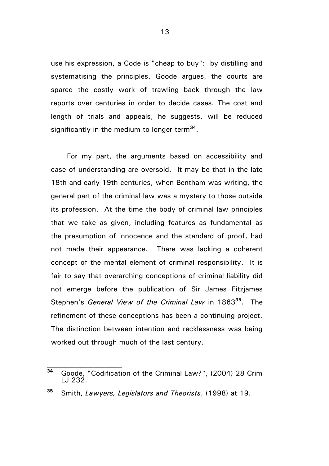use his expression, a Code is "cheap to buy": by distilling and systematising the principles, Goode argues, the courts are spared the costly work of trawling back through the law reports over centuries in order to decide cases. The cost and length of trials and appeals, he suggests, will be reduced significantly in the medium to longer term**<sup>34</sup>** .

For my part, the arguments based on accessibility and ease of understanding are oversold. It may be that in the late 18th and early 19th centuries, when Bentham was writing, the general part of the criminal law was a mystery to those outside its profession. At the time the body of criminal law principles that we take as given, including features as fundamental as the presumption of innocence and the standard of proof, had not made their appearance. There was lacking a coherent concept of the mental element of criminal responsibility. It is fair to say that overarching conceptions of criminal liability did not emerge before the publication of Sir James Fitzjames Stephen's *General View of the Criminal Law* in 1863**<sup>35</sup>** . The refinement of these conceptions has been a continuing project. The distinction between intention and recklessness was being worked out through much of the last century.

**<sup>34</sup>** Goode, "Codification of the Criminal Law?", (2004) 28 Crim LJ 232.

**<sup>35</sup>** Smith, *Lawyers, Legislators and Theorists*, (1998) at 19.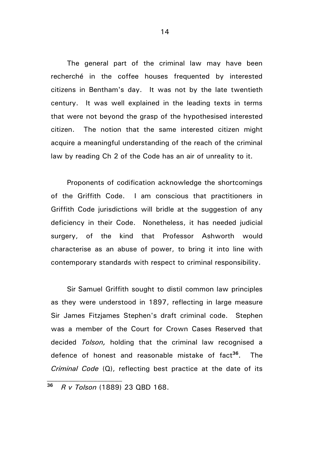The general part of the criminal law may have been recherché in the coffee houses frequented by interested citizens in Bentham's day. It was not by the late twentieth century. It was well explained in the leading texts in terms that were not beyond the grasp of the hypothesised interested citizen. The notion that the same interested citizen might acquire a meaningful understanding of the reach of the criminal law by reading Ch 2 of the Code has an air of unreality to it.

Proponents of codification acknowledge the shortcomings of the Griffith Code. I am conscious that practitioners in Griffith Code jurisdictions will bridle at the suggestion of any deficiency in their Code. Nonetheless, it has needed judicial surgery, of the kind that Professor Ashworth would characterise as an abuse of power, to bring it into line with contemporary standards with respect to criminal responsibility.

Sir Samuel Griffith sought to distil common law principles as they were understood in 1897, reflecting in large measure Sir James Fitzjames Stephen's draft criminal code. Stephen was a member of the Court for Crown Cases Reserved that decided *Tolson,* holding that the criminal law recognised a defence of honest and reasonable mistake of fact**<sup>36</sup>**. The *Criminal Code* (Q), reflecting best practice at the date of its

**<sup>36</sup>** *R v Tolson* (1889) 23 QBD 168.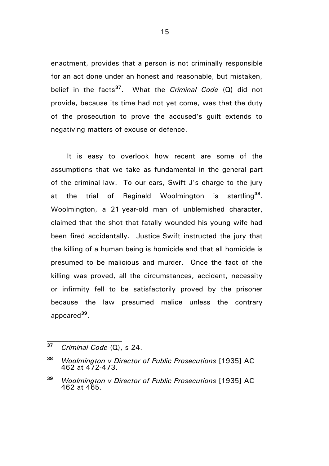enactment, provides that a person is not criminally responsible for an act done under an honest and reasonable, but mistaken, belief in the facts**<sup>37</sup>**. What the *Criminal Code* (Q) did not provide, because its time had not yet come, was that the duty of the prosecution to prove the accused's guilt extends to negativing matters of excuse or defence.

It is easy to overlook how recent are some of the assumptions that we take as fundamental in the general part of the criminal law. To our ears, Swift J's charge to the jury at the trial of Reginald Woolmington is startling**<sup>38</sup>** . Woolmington, a 21 year-old man of unblemished character, claimed that the shot that fatally wounded his young wife had been fired accidentally. Justice Swift instructed the jury that the killing of a human being is homicide and that all homicide is presumed to be malicious and murder. Once the fact of the killing was proved, all the circumstances, accident, necessity or infirmity fell to be satisfactorily proved by the prisoner because the law presumed malice unless the contrary appeared**<sup>39</sup>** .

**<sup>37</sup>** *Criminal Code* (Q), s 24.

**<sup>38</sup>** *Woolmington v Director of Public Prosecutions* [1935] AC 462 at 472-473.

**<sup>39</sup>** *Woolmington v Director of Public Prosecutions* [1935] AC 462 at 465.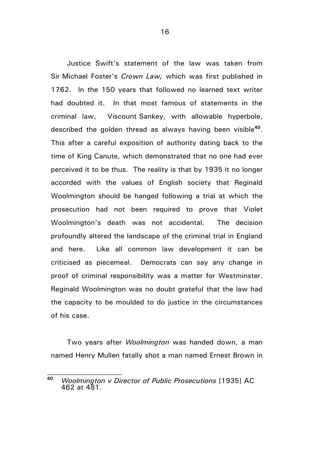Justice Swift's statement of the law was taken from Sir Michael Foster's *Crown Law,* which was first published in 1762. In the 150 years that followed no learned text writer had doubted it. In that most famous of statements in the criminal law, Viscount Sankey, with allowable hyperbole, described the golden thread as always having been visible**<sup>40</sup>** . This after a careful exposition of authority dating back to the time of King Canute, which demonstrated that no one had ever perceived it to be thus. The reality is that by 1935 it no longer accorded with the values of English society that Reginald Woolmington should be hanged following a trial at which the prosecution had not been required to prove that Violet Woolmington's death was not accidental. The decision profoundly altered the landscape of the criminal trial in England and here. Like all common law development it can be criticised as piecemeal. Democrats can say any change in proof of criminal responsibility was a matter for Westminster. Reginald Woolmington was no doubt grateful that the law had the capacity to be moulded to do justice in the circumstances of his case.

Two years after *Woolmington* was handed down, a man named Henry Mullen fatally shot a man named Ernest Brown in

**<sup>40</sup>** *Woolmington v Director of Public Prosecutions* [1935] AC 462 at 481.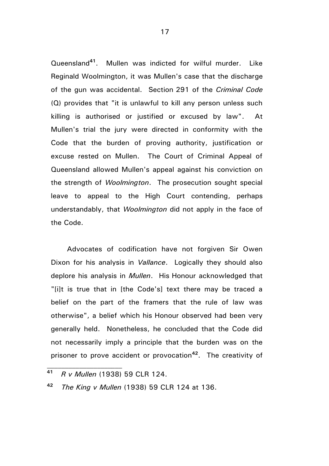Queensland**<sup>41</sup>** . Mullen was indicted for wilful murder. Like Reginald Woolmington, it was Mullen's case that the discharge of the gun was accidental. Section 291 of the *Criminal Code* (Q) provides that "it is unlawful to kill any person unless such killing is authorised or justified or excused by law". At Mullen's trial the jury were directed in conformity with the Code that the burden of proving authority, justification or excuse rested on Mullen. The Court of Criminal Appeal of Queensland allowed Mullen's appeal against his conviction on the strength of *Woolmington*. The prosecution sought special leave to appeal to the High Court contending, perhaps understandably, that *Woolmington* did not apply in the face of the Code.

Advocates of codification have not forgiven Sir Owen Dixon for his analysis in *Vallance*. Logically they should also deplore his analysis in *Mullen*. His Honour acknowledged that "[i]t is true that in [the Code's] text there may be traced a belief on the part of the framers that the rule of law was otherwise", a belief which his Honour observed had been very generally held. Nonetheless, he concluded that the Code did not necessarily imply a principle that the burden was on the prisoner to prove accident or provocation**<sup>42</sup>** . The creativity of

**<sup>41</sup>** *R v Mullen* (1938) 59 CLR 124.

**<sup>42</sup>** *The King v Mullen* (1938) 59 CLR 124 at 136.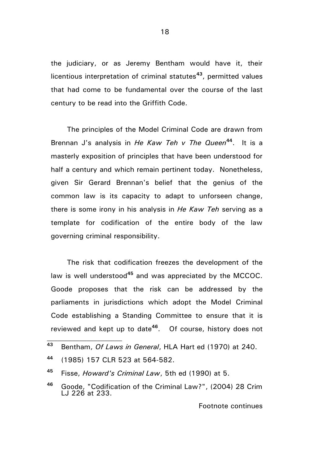the judiciary, or as Jeremy Bentham would have it, their licentious interpretation of criminal statutes**<sup>43</sup>**, permitted values that had come to be fundamental over the course of the last century to be read into the Griffith Code.

The principles of the Model Criminal Code are drawn from Brennan J's analysis in *He Kaw Teh v The Queen***<sup>44</sup>** . It is a masterly exposition of principles that have been understood for half a century and which remain pertinent today. Nonetheless, given Sir Gerard Brennan's belief that the genius of the common law is its capacity to adapt to unforseen change, there is some irony in his analysis in *He Kaw Teh* serving as a template for codification of the entire body of the law governing criminal responsibility.

The risk that codification freezes the development of the law is well understood**<sup>45</sup>** and was appreciated by the MCCOC. Goode proposes that the risk can be addressed by the parliaments in jurisdictions which adopt the Model Criminal Code establishing a Standing Committee to ensure that it is reviewed and kept up to date**<sup>46</sup>** . Of course, history does not

Footnote continues

**<sup>43</sup>** Bentham, *Of Laws in General*, HLA Hart ed (1970) at 240.

**<sup>44</sup>** (1985) 157 CLR 523 at 564-582.

**<sup>45</sup>** Fisse, *Howard's Criminal Law*, 5th ed (1990) at 5.

**<sup>46</sup>** Goode, "Codification of the Criminal Law?", (2004) 28 Crim LJ 226 at 233.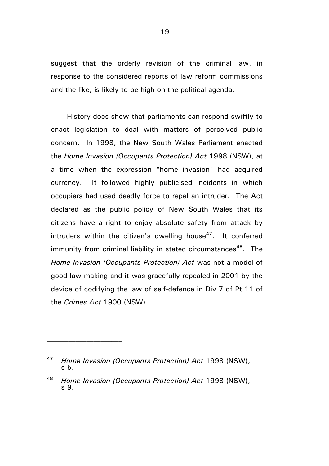suggest that the orderly revision of the criminal law, in response to the considered reports of law reform commissions and the like, is likely to be high on the political agenda.

History does show that parliaments can respond swiftly to enact legislation to deal with matters of perceived public concern. In 1998, the New South Wales Parliament enacted the *Home Invasion (Occupants Protection) Act* 1998 (NSW), at a time when the expression "home invasion" had acquired currency. It followed highly publicised incidents in which occupiers had used deadly force to repel an intruder. The Act declared as the public policy of New South Wales that its citizens have a right to enjoy absolute safety from attack by intruders within the citizen's dwelling house**<sup>47</sup>** . It conferred immunity from criminal liability in stated circumstances**<sup>48</sup>** . The *Home Invasion (Occupants Protection) Act* was not a model of good law-making and it was gracefully repealed in 2001 by the device of codifying the law of self-defence in Div 7 of Pt 11 of the *Crimes Act* 1900 (NSW).

**<sup>47</sup>** *Home Invasion (Occupants Protection) Act* 1998 (NSW), s 5.

**<sup>48</sup>** *Home Invasion (Occupants Protection) Act* 1998 (NSW), s 9.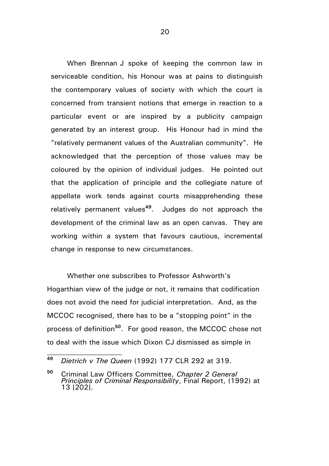When Brennan J spoke of keeping the common law in serviceable condition, his Honour was at pains to distinguish the contemporary values of society with which the court is concerned from transient notions that emerge in reaction to a particular event or are inspired by a publicity campaign generated by an interest group. His Honour had in mind the "relatively permanent values of the Australian community". He acknowledged that the perception of those values may be coloured by the opinion of individual judges. He pointed out that the application of principle and the collegiate nature of appellate work tends against courts misapprehending these relatively permanent values**<sup>49</sup>**. Judges do not approach the development of the criminal law as an open canvas. They are working within a system that favours cautious, incremental change in response to new circumstances.

Whether one subscribes to Professor Ashworth's Hogarthian view of the judge or not, it remains that codification does not avoid the need for judicial interpretation. And, as the MCCOC recognised, there has to be a "stopping point" in the process of definition**<sup>50</sup>**. For good reason, the MCCOC chose not to deal with the issue which Dixon CJ dismissed as simple in

**<sup>49</sup>** *Dietrich v The Queen* (1992) 177 CLR 292 at 319.

**<sup>50</sup>** Criminal Law Officers Committee, *Chapter 2 General Principles of Criminal Responsibility*, Final Report, (1992) at 13 [202].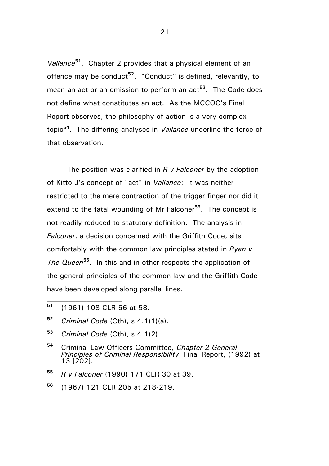*Vallance***<sup>51</sup>** . Chapter 2 provides that a physical element of an offence may be conduct**<sup>52</sup>**. "Conduct" is defined, relevantly, to mean an act or an omission to perform an act**<sup>53</sup>** . The Code does not define what constitutes an act. As the MCCOC's Final Report observes, the philosophy of action is a very complex topic**<sup>54</sup>**. The differing analyses in *Vallance* underline the force of that observation.

The position was clarified in *R v Falconer* by the adoption of Kitto J's concept of "act" in *Vallance*: it was neither restricted to the mere contraction of the trigger finger nor did it extend to the fatal wounding of Mr Falconer<sup>55</sup>. The concept is not readily reduced to statutory definition. The analysis in *Falconer*, a decision concerned with the Griffith Code, sits comfortably with the common law principles stated in *Ryan v The Queen***<sup>56</sup>** . In this and in other respects the application of the general principles of the common law and the Griffith Code have been developed along parallel lines.

- **<sup>51</sup>** (1961) 108 CLR 56 at 58.
- **<sup>52</sup>** *Criminal Code* (Cth), s 4.1(1)(a).
- **<sup>53</sup>** *Criminal Code* (Cth), s 4.1(2).
- **<sup>54</sup>** Criminal Law Officers Committee, *Chapter 2 General Principles of Criminal Responsibility*, Final Report, (1992) at 13 [202].
- **<sup>55</sup>** *R v Falconer* (1990) 171 CLR 30 at 39.
- **<sup>56</sup>** (1967) 121 CLR 205 at 218-219.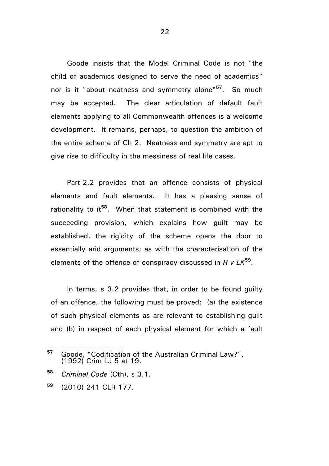Goode insists that the Model Criminal Code is not "the child of academics designed to serve the need of academics" nor is it "about neatness and symmetry alone"**<sup>57</sup>** . So much may be accepted. The clear articulation of default fault elements applying to all Commonwealth offences is a welcome development. It remains, perhaps, to question the ambition of the entire scheme of Ch 2. Neatness and symmetry are apt to give rise to difficulty in the messiness of real life cases.

Part 2.2 provides that an offence consists of physical elements and fault elements. It has a pleasing sense of rationality to it**<sup>58</sup>**. When that statement is combined with the succeeding provision, which explains how guilt may be established, the rigidity of the scheme opens the door to essentially arid arguments; as with the characterisation of the elements of the offence of conspiracy discussed in *R v LK***<sup>59</sup>** .

In terms, s 3.2 provides that, in order to be found guilty of an offence, the following must be proved: (a) the existence of such physical elements as are relevant to establishing guilt and (b) in respect of each physical element for which a fault

**<sup>57</sup>** Goode, "Codification of the Australian Criminal Law?", (1992) Crim LJ 5 at 19.

**<sup>58</sup>** *Criminal Code* (Cth), s 3.1.

**<sup>59</sup>** (2010) 241 CLR 177.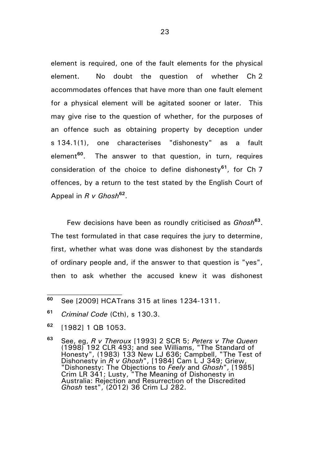element is required, one of the fault elements for the physical element. No doubt the question of whether Ch 2 accommodates offences that have more than one fault element for a physical element will be agitated sooner or later. This may give rise to the question of whether, for the purposes of an offence such as obtaining property by deception under s 134.1(1), one characterises "dishonesty" as a fault element**<sup>60</sup>** The answer to that question, in turn, requires consideration of the choice to define dishonesty**<sup>61</sup>**, for Ch 7 offences, by a return to the test stated by the English Court of Appeal in *R v Ghosh***<sup>62</sup>** .

Few decisions have been as roundly criticised as *Ghosh***<sup>63</sup>** . The test formulated in that case requires the jury to determine, first, whether what was done was dishonest by the standards of ordinary people and, if the answer to that question is "yes", then to ask whether the accused knew it was dishonest

**<sup>60</sup>** See [2009] HCATrans 315 at lines 1234-1311.

**<sup>61</sup>** *Criminal Code* (Cth), s 130.3.

**<sup>62</sup>** [1982] 1 QB 1053.

**<sup>63</sup>** See, eg, *R v Theroux* [1993] 2 SCR 5; *Peters v The Queen* (1998) 192 CLR 493; and see Williams, "The Standard of Honesty", (1983) 133 New LJ 636; Campbell, "The Test of Dishonesty in *R v Ghosh*", [1984] Cam L J 349; Griew, "Dishonesty: The Objections to *Feely* and *Ghosh*", [1985] Crim LR 341; Lusty, "The Meaning of Dishonesty in Australia: Rejection and Resurrection of the Discredited *Ghosh* test", (2012) 36 Crim LJ 282.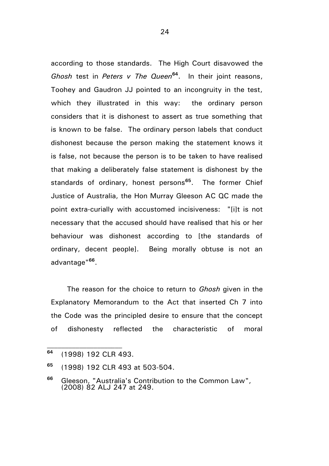according to those standards. The High Court disavowed the *Ghosh* test in *Peters v The Queen***<sup>64</sup>**. In their joint reasons, Toohey and Gaudron JJ pointed to an incongruity in the test, which they illustrated in this way: the ordinary person considers that it is dishonest to assert as true something that is known to be false. The ordinary person labels that conduct dishonest because the person making the statement knows it is false, not because the person is to be taken to have realised that making a deliberately false statement is dishonest by the standards of ordinary, honest persons**<sup>65</sup>** . The former Chief Justice of Australia, the Hon Murray Gleeson AC QC made the point extra-curially with accustomed incisiveness: "[i]t is not necessary that the accused should have realised that his or her behaviour was dishonest according to [the standards of ordinary, decent people]. Being morally obtuse is not an advantage" **66** .

The reason for the choice to return to *Ghosh* given in the Explanatory Memorandum to the Act that inserted Ch 7 into the Code was the principled desire to ensure that the concept of dishonesty reflected the characteristic of moral

**<sup>64</sup>** (1998) 192 CLR 493.

**<sup>65</sup>** (1998) 192 CLR 493 at 503-504.

**<sup>66</sup>** Gleeson, "Australia's Contribution to the Common Law", (2008) 82 ALJ 247 at 249.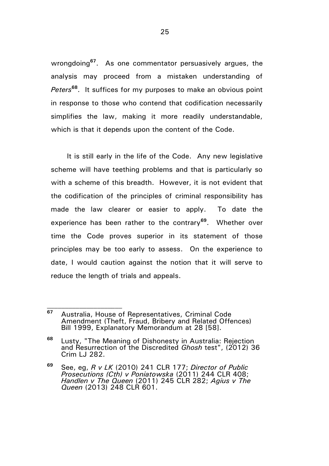wrongdoing**<sup>67</sup>** . As one commentator persuasively argues, the analysis may proceed from a mistaken understanding of *Peters***<sup>68</sup>** . It suffices for my purposes to make an obvious point in response to those who contend that codification necessarily simplifies the law, making it more readily understandable, which is that it depends upon the content of the Code.

It is still early in the life of the Code. Any new legislative scheme will have teething problems and that is particularly so with a scheme of this breadth. However, it is not evident that the codification of the principles of criminal responsibility has made the law clearer or easier to apply. To date the experience has been rather to the contrary**<sup>69</sup>** . Whether over time the Code proves superior in its statement of those principles may be too early to assess. On the experience to date, I would caution against the notion that it will serve to reduce the length of trials and appeals.

**<sup>67</sup>** Australia, House of Representatives, Criminal Code Amendment (Theft, Fraud, Bribery and Related Offences) Bill 1999, Explanatory Memorandum at 28 [58].

**<sup>68</sup>** Lusty, "The Meaning of Dishonesty in Australia: Rejection and Resurrection of the Discredited *Ghosh* test", (2012) 36 Crim LJ 282.

**<sup>69</sup>** See, eg, *R v LK* (2010) 241 CLR 177; *Director of Public Prosecutions (Cth) v Poniatowska* (2011) 244 CLR 408; *Handlen v The Queen* (2011) 245 CLR 282; *Agius v The Queen* (2013) 248 CLR 601.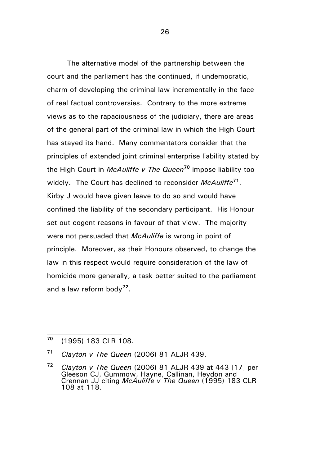The alternative model of the partnership between the court and the parliament has the continued, if undemocratic, charm of developing the criminal law incrementally in the face of real factual controversies. Contrary to the more extreme views as to the rapaciousness of the judiciary, there are areas of the general part of the criminal law in which the High Court has stayed its hand. Many commentators consider that the principles of extended joint criminal enterprise liability stated by the High Court in *McAuliffe v The Queen***<sup>70</sup>** impose liability too widely. The Court has declined to reconsider *McAuliffe***<sup>71</sup>** . Kirby J would have given leave to do so and would have confined the liability of the secondary participant. His Honour set out cogent reasons in favour of that view. The majority were not persuaded that *McAuliffe* is wrong in point of principle. Moreover, as their Honours observed, to change the law in this respect would require consideration of the law of homicide more generally, a task better suited to the parliament and a law reform body**<sup>72</sup>** .

**<sup>70</sup>** (1995) 183 CLR 108.

**<sup>71</sup>** *Clayton v The Queen* (2006) 81 ALJR 439.

**<sup>72</sup>** *Clayton v The Queen* (2006) 81 ALJR 439 at 443 [17] per Gleeson CJ, Gummow, Hayne, Callinan, Heydon and Crennan JJ citing *McAuliffe v The Queen* (1995) 183 CLR 108 at 118.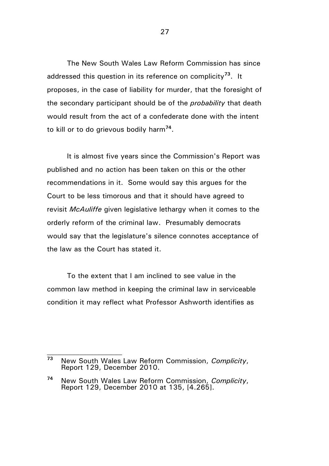The New South Wales Law Reform Commission has since addressed this question in its reference on complicity**<sup>73</sup>** . It proposes, in the case of liability for murder, that the foresight of the secondary participant should be of the *probability* that death would result from the act of a confederate done with the intent to kill or to do grievous bodily harm**<sup>74</sup>** .

It is almost five years since the Commission's Report was published and no action has been taken on this or the other recommendations in it. Some would say this argues for the Court to be less timorous and that it should have agreed to revisit *McAuliffe* given legislative lethargy when it comes to the orderly reform of the criminal law. Presumably democrats would say that the legislature's silence connotes acceptance of the law as the Court has stated it.

To the extent that I am inclined to see value in the common law method in keeping the criminal law in serviceable condition it may reflect what Professor Ashworth identifies as

**<sup>73</sup>** New South Wales Law Reform Commission, *Complicity*, Report 129, December 2010.

**<sup>74</sup>** New South Wales Law Reform Commission, *Complicity*, Report 129, December 2010 at 135, [4.265].